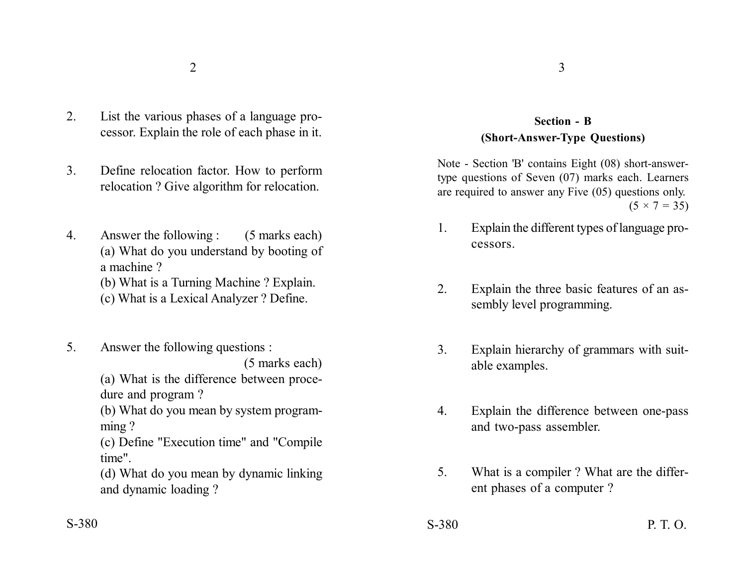- 2. List the various phases of a language processor. Explain the role of each phase in it.
- 3. Define relocation factor. How to perform relocation ? Give algorithm for relocation.
- 4. Answer the following : (5 marks each) (a) What do you understand by booting of a machine ?
	- (b) What is a Turning Machine ? Explain.
	- (c) What is a Lexical Analyzer ? Define.
- 5. Answer the following questions :

(5 marks each)

(a) What is the difference between procedure and program ?

(b) What do you mean by system programming ?

(c) Define "Execution time" and "Compile time".

(d) What do you mean by dynamic linking and dynamic loading ?

## **Section - B (Short-Answer-Type Questions)**

Note - Section 'B' contains Eight (08) short-answertype questions of Seven (07) marks each. Learners are required to answer any Five (05) questions only.  $(5 \times 7 = 35)$ 

- 1. Explain the different types of language processors.
- 2. Explain the three basic features of an assembly level programming.
- 3. Explain hierarchy of grammars with suitable examples.
- 4. Explain the difference between one-pass and two-pass assembler.
- 5. What is a compiler ? What are the different phases of a computer ?
- S-380 S-380 P. T. O.